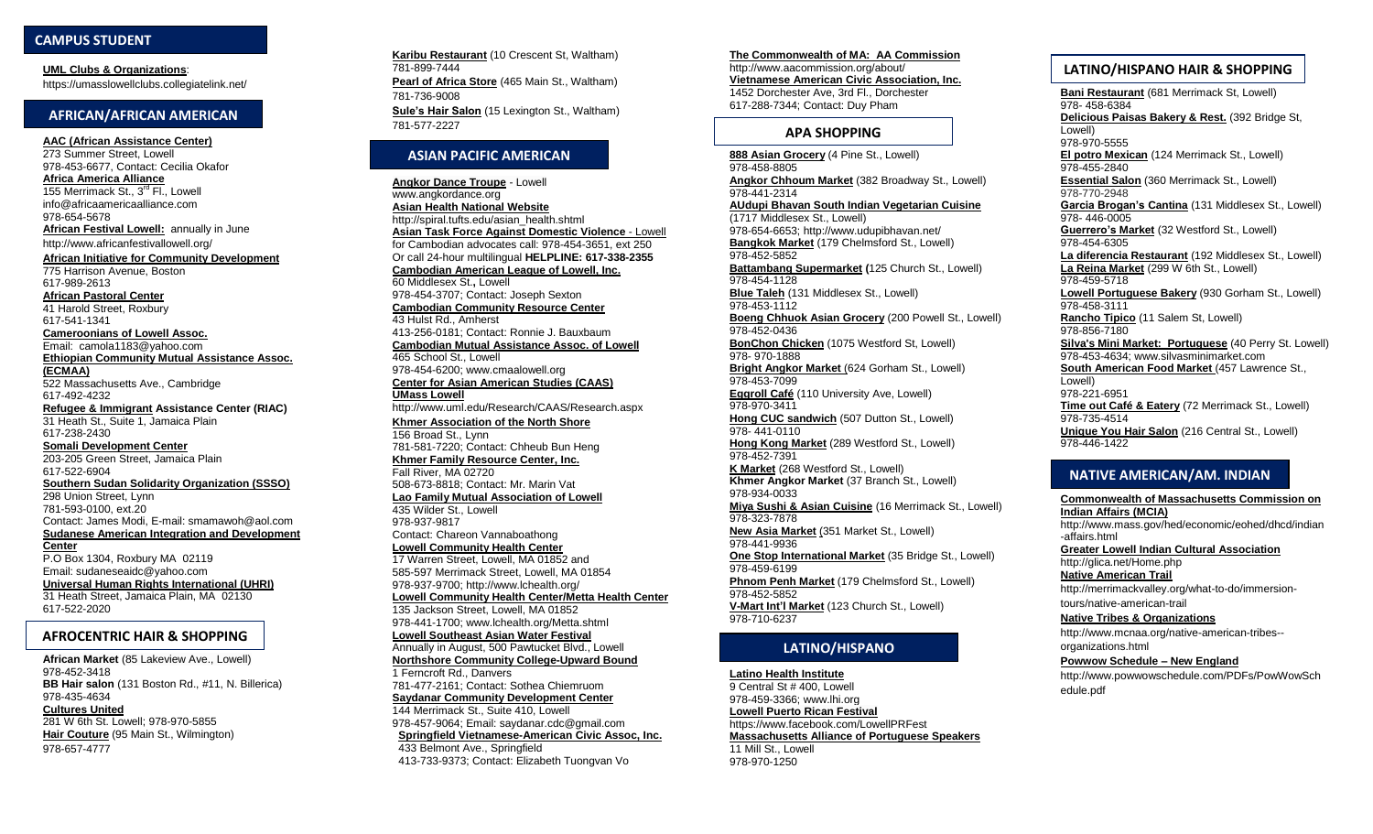# **CAMPUS STUDENT**

**UML Clubs & Organizations:** https://umasslowellclubs.collegiatelink.net/

# **AFRICAN/AFRICAN AMERICAN**

**AAC (African Assistance Center)** 273 Summer Street, Lowell 978-453-6677, Contact: Cecilia Okafor **Africa America Alliance** 155 Merrimack St., 3<sup>rd</sup> Fl., Lowell info@africaamericaalliance.com 978-654-5678 **African Festival Lowell:** annually in June http://www.africanfestivallowell.org/ **African Initiative for Community Development** 775 Harrison Avenue, Boston 617-989-2613 **African Pastoral Center** 41 Harold Street, Roxbury 617-541-1341 **Cameroonians of Lowell Assoc.** Email: camola1183@yahoo.com **Ethiopian Community Mutual Assistance Assoc. (ECMAA)** 522 Massachusetts Ave., Cambridge 617-492-4232 **Refugee & Immigrant Assistance Center (RIAC)** 31 Heath St., Suite 1, Jamaica Plain 617-238-2430 **Somali Development Center** 203-205 Green Street, Jamaica Plain 617-522-6904 **Southern Sudan Solidarity Organization (SSSO)** 298 Union Street, Lynn 781-593-0100, ext.20 Contact: James Modi, E-mail: smamawoh@aol.com **Sudanese American Integration and Development Center** P.O Box 1304, Roxbury MA 02119

Email: sudaneseaidc@yahoo.com **Universal Human Rights International (UHRI)** 31 Heath Street, Jamaica Plain, MA 02130 617-522-2020

#### **AFROCENTRIC HAIR & SHOPPING**

**African Market** (85 Lakeview Ave., Lowell) 978-452-3418 **BB Hair salon** (131 Boston Rd., #11, N. Billerica) 978-435-4634 **Cultures United** 281 W 6th St. Lowell; 978-970-5855 **Hair Couture** (95 Main St., Wilmington) 978-657-4777

**Karibu Restaurant** (10 Crescent St, Waltham) 781-899-7444 **Pearl of Africa Store** (465 Main St., Waltham) 781-736-9008 **Sule's Hair Salon** (15 Lexington St., Waltham) 781-577-2227

# **ASIAN PACIFIC AMERICAN**

**Angkor Dance Troupe** - Lowell www.angkordance.org **Asian Health National Website** http://spiral.tufts.edu/asian\_health.shtml **Asian Task Force Against Domestic Violence** - Lowell for Cambodian advocates call: 978-454-3651, ext 250 Or call 24-hour multilingual **HELPLINE: 617-338-2355 Cambodian American League of Lowell, Inc.** 60 Middlesex St.**,** Lowell 978-454-3707; Contact: Joseph Sexton **Cambodian Community Resource Center** 43 Hulst Rd., Amherst 413-256-0181; Contact: Ronnie J. Bauxbaum **Cambodian Mutual Assistance Assoc. of Lowell** 465 School St., Lowell 978-454-6200; www.cmaalowell.org **Center for Asian American Studies (CAAS) UMass Lowell** http://www.uml.edu/Research/CAAS/Research.aspx **Khmer Association of the North Shore** 156 Broad St., Lynn 781-581-7220; Contact: Chheub Bun Heng **Khmer Family Resource Center, Inc.** Fall River, MA 02720 508-673-8818; Contact: Mr. Marin Vat **Lao Family Mutual Association of Lowell** 435 Wilder St., Lowell 978-937-9817 Contact: Chareon Vannaboathong **Lowell Community Health Center** 17 Warren Street, Lowell, MA 01852 and 585-597 Merrimack Street, Lowell, MA 01854 978-937-9700; http://www.lchealth.org/ **Lowell Community Health Center/Metta Health Center** 135 Jackson Street, Lowell, MA 01852 978-441-1700; www.lchealth.org/Metta.shtml **Lowell Southeast Asian Water Festival** Annually in August, 500 Pawtucket Blvd., Lowell **Northshore Community College-Upward Bound** 1 Ferncroft Rd., Danvers 781-477-2161; Contact: Sothea Chiemruom **Saydanar Community Development Center** 144 Merrimack St., Suite 410, Lowell 978-457-9064; Email: saydanar.cdc@gmail.com **Springfield Vietnamese-American Civic Assoc, Inc.**

433 Belmont Ave., Springfield 413-733-9373; Contact: Elizabeth Tuongvan Vo **The Commonwealth of MA: AA Commission** http://www.aacommission.org/about/ **Vietnamese American Civic Association, Inc.** 1452 Dorchester Ave, 3rd Fl., Dorchester 617-288-7344; Contact: Duy Pham

#### **APA SHOPPING**

**888 Asian Grocery** (4 Pine St., Lowell) 978-458-8805 **Angkor Chhoum Market** (382 Broadway St., Lowell) 978-441-2314 **AUdupi Bhavan South Indian Vegetarian Cuisine** (1717 Middlesex St., Lowell) 978-654-6653; http://www.udupibhavan.net/ **Bangkok Market** (179 Chelmsford St., Lowell) 978-452-5852 **Battambang Supermarket (**125 Church St., Lowell) 978-454-1128 **Blue Taleh** (131 Middlesex St., Lowell) 978-453-1112 **Boeng Chhuok Asian Grocery** (200 Powell St., Lowell) 978-452-0436 **BonChon Chicken** (1075 Westford St, Lowell) 978- 970-1888 **Bright Angkor Market** (624 Gorham St., Lowell) 978-453-7099 **Eggroll Café** (110 University Ave, Lowell) 978-970-3411 **Hong CUC sandwich** (507 Dutton St., Lowell) 978- 441-0110 **Hong Kong Market** (289 Westford St., Lowell) 978-452-7391 **K Market** (268 Westford St., Lowell) **Khmer Angkor Market** (37 Branch St., Lowell) 978-934-0033 **Miya Sushi & Asian Cuisine** (16 Merrimack St., Lowell) 978-323-7878 **New Asia Market** (351 Market St., Lowell) 978-441-9936 **One Stop International Market** (35 Bridge St., Lowell) 978-459-6199 **Phnom Penh Market** (179 Chelmsford St., Lowell) 978-452-5852 **V-Mart Int'l Market** (123 Church St., Lowell) 978-710-6237

## **LATINO/HISPANO**

**Latino Health Institute** 9 Central St # 400, Lowell 978-459-3366; www.lhi.org **Lowell Puerto Rican Festival** https://www.facebook.com/LowellPRFest **Massachusetts Alliance of Portuguese Speakers** 11 Mill St., Lowell

978-970-1250

## **UML Clubs & Organizations**: **LATINO/HISPANO HAIR & SHOPPING**

**Bani Restaurant** (681 Merrimack St, Lowell) 978- 458-6384 **Delicious Paisas Bakery & Rest.** (392 Bridge St, Lowell) 978-970-5555 **El potro Mexican** (124 Merrimack St., Lowell) 978-455-2840 **Essential Salon** (360 Merrimack St., Lowell) 978-770-2948 **Garcia Brogan's Cantina** (131 Middlesex St., Lowell) 978- 446-0005 **Guerrero's Market** (32 Westford St., Lowell) 978-454-6305 **La diferencia Restaurant** (192 Middlesex St., Lowell) **La Reina Market** (299 W 6th St., Lowell) 978-459-5718 **Lowell Portuguese Bakery** (930 Gorham St., Lowell) 978-458-3111 **Rancho Tipico** (11 Salem St, Lowell) 978-856-7180 **Silva's Mini Market: Portuguese** (40 Perry St. Lowell) 978-453-4634; www.silvasminimarket.com **South American Food Market** (457 Lawrence St., Lowell) 978-221-6951 **Time out Café & Eatery** (72 Merrimack St., Lowell) 978-735-4514 **Unique You Hair Salon** (216 Central St., Lowell)

# **NATIVE AMERICAN/AM. INDIAN**

978-446-1422

edule.pdf

**Commonwealth of Massachusetts Commission on Indian Affairs (MCIA)** http://www.mass.gov/hed/economic/eohed/dhcd/indian -affairs.html **Greater Lowell Indian Cultural Association** http://glica.net/Home.php **Native American Trail** http://merrimackvalley.org/what-to-do/immersiontours/native-american-trail **Native Tribes & Organizations** http://www.mcnaa.org/native-american-tribes- organizations.html **Powwow Schedule – New England** http://www.powwowschedule.com/PDFs/PowWowSch